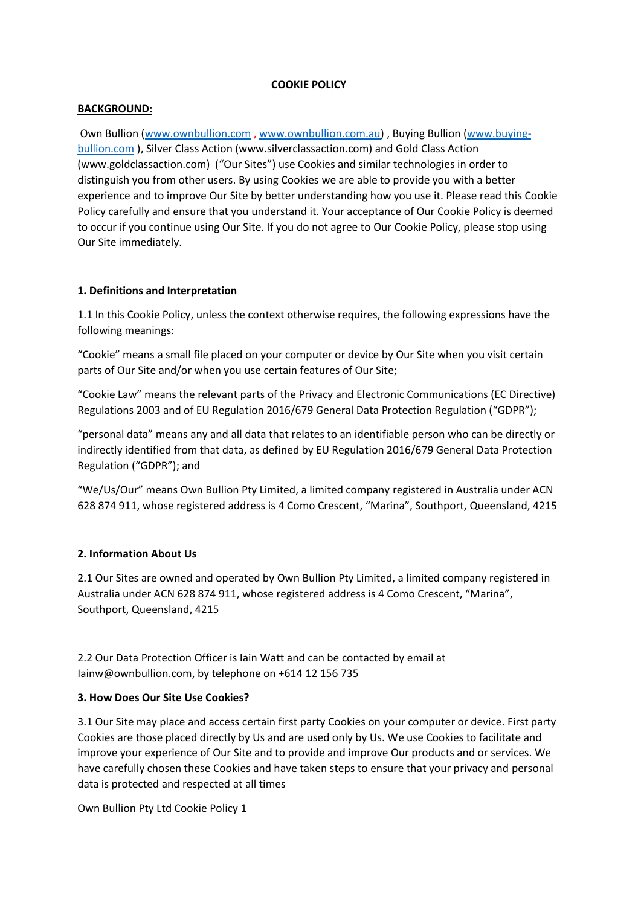#### **COOKIE POLICY**

### **BACKGROUND:**

Own Bullion [\(www.ownbullion.com](http://www.ownbullion.com/) , [www.ownbullion.com.au\)](http://www.ownbullion.com.au/) , Buying Bullion [\(www.buying](http://www.buying-bullion.com/)[bullion.com](http://www.buying-bullion.com/) ), Silver Class Action (www.silverclassaction.com) and Gold Class Action (www.goldclassaction.com) ("Our Sites") use Cookies and similar technologies in order to distinguish you from other users. By using Cookies we are able to provide you with a better experience and to improve Our Site by better understanding how you use it. Please read this Cookie Policy carefully and ensure that you understand it. Your acceptance of Our Cookie Policy is deemed to occur if you continue using Our Site. If you do not agree to Our Cookie Policy, please stop using Our Site immediately.

### **1. Definitions and Interpretation**

1.1 In this Cookie Policy, unless the context otherwise requires, the following expressions have the following meanings:

"Cookie" means a small file placed on your computer or device by Our Site when you visit certain parts of Our Site and/or when you use certain features of Our Site;

"Cookie Law" means the relevant parts of the Privacy and Electronic Communications (EC Directive) Regulations 2003 and of EU Regulation 2016/679 General Data Protection Regulation ("GDPR");

"personal data" means any and all data that relates to an identifiable person who can be directly or indirectly identified from that data, as defined by EU Regulation 2016/679 General Data Protection Regulation ("GDPR"); and

"We/Us/Our" means Own Bullion Pty Limited, a limited company registered in Australia under ACN 628 874 911, whose registered address is 4 Como Crescent, "Marina", Southport, Queensland, 4215

#### **2. Information About Us**

2.1 Our Sites are owned and operated by Own Bullion Pty Limited, a limited company registered in Australia under ACN 628 874 911, whose registered address is 4 Como Crescent, "Marina", Southport, Queensland, 4215

2.2 Our Data Protection Officer is Iain Watt and can be contacted by email at Iainw@ownbullion.com, by telephone on +614 12 156 735

#### **3. How Does Our Site Use Cookies?**

3.1 Our Site may place and access certain first party Cookies on your computer or device. First party Cookies are those placed directly by Us and are used only by Us. We use Cookies to facilitate and improve your experience of Our Site and to provide and improve Our products and or services. We have carefully chosen these Cookies and have taken steps to ensure that your privacy and personal data is protected and respected at all times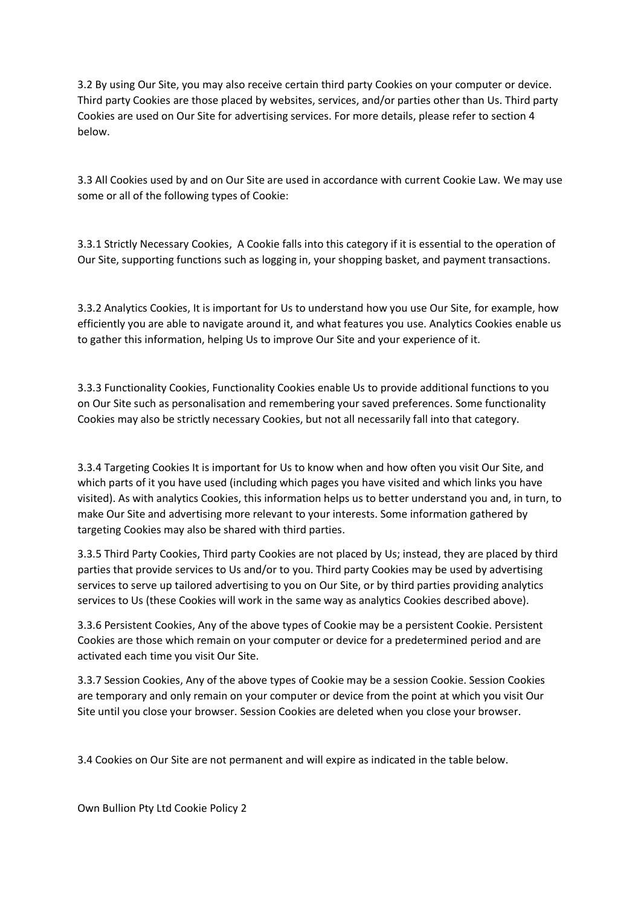3.2 By using Our Site, you may also receive certain third party Cookies on your computer or device. Third party Cookies are those placed by websites, services, and/or parties other than Us. Third party Cookies are used on Our Site for advertising services. For more details, please refer to section 4 below.

3.3 All Cookies used by and on Our Site are used in accordance with current Cookie Law. We may use some or all of the following types of Cookie:

3.3.1 Strictly Necessary Cookies, A Cookie falls into this category if it is essential to the operation of Our Site, supporting functions such as logging in, your shopping basket, and payment transactions.

3.3.2 Analytics Cookies, It is important for Us to understand how you use Our Site, for example, how efficiently you are able to navigate around it, and what features you use. Analytics Cookies enable us to gather this information, helping Us to improve Our Site and your experience of it.

3.3.3 Functionality Cookies, Functionality Cookies enable Us to provide additional functions to you on Our Site such as personalisation and remembering your saved preferences. Some functionality Cookies may also be strictly necessary Cookies, but not all necessarily fall into that category.

3.3.4 Targeting Cookies It is important for Us to know when and how often you visit Our Site, and which parts of it you have used (including which pages you have visited and which links you have visited). As with analytics Cookies, this information helps us to better understand you and, in turn, to make Our Site and advertising more relevant to your interests. Some information gathered by targeting Cookies may also be shared with third parties.

3.3.5 Third Party Cookies, Third party Cookies are not placed by Us; instead, they are placed by third parties that provide services to Us and/or to you. Third party Cookies may be used by advertising services to serve up tailored advertising to you on Our Site, or by third parties providing analytics services to Us (these Cookies will work in the same way as analytics Cookies described above).

3.3.6 Persistent Cookies, Any of the above types of Cookie may be a persistent Cookie. Persistent Cookies are those which remain on your computer or device for a predetermined period and are activated each time you visit Our Site.

3.3.7 Session Cookies, Any of the above types of Cookie may be a session Cookie. Session Cookies are temporary and only remain on your computer or device from the point at which you visit Our Site until you close your browser. Session Cookies are deleted when you close your browser.

3.4 Cookies on Our Site are not permanent and will expire as indicated in the table below.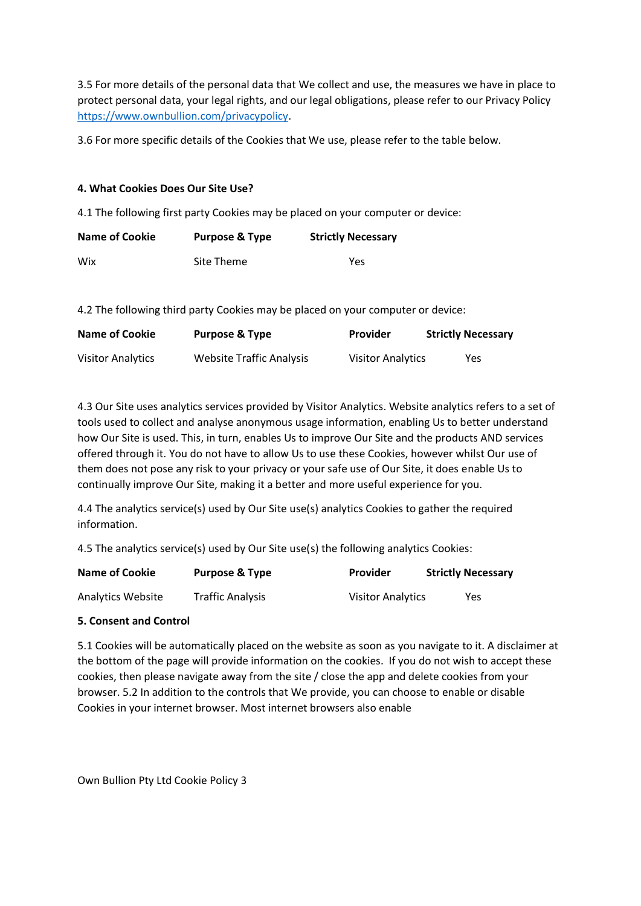3.5 For more details of the personal data that We collect and use, the measures we have in place to protect personal data, your legal rights, and our legal obligations, please refer to our Privacy Policy [https://www.ownbullion.com/privacypolicy.](https://www.ownbullion.com/privacypolicy)

3.6 For more specific details of the Cookies that We use, please refer to the table below.

# **4. What Cookies Does Our Site Use?**

4.1 The following first party Cookies may be placed on your computer or device:

| Name of Cookie | <b>Purpose &amp; Type</b> | <b>Strictly Necessary</b> |  |
|----------------|---------------------------|---------------------------|--|
| Wix            | Site Theme                | Yes                       |  |

4.2 The following third party Cookies may be placed on your computer or device:

| Name of Cookie           | <b>Purpose &amp; Type</b> | Provider                 | <b>Strictly Necessary</b> |
|--------------------------|---------------------------|--------------------------|---------------------------|
| <b>Visitor Analytics</b> | Website Traffic Analysis  | <b>Visitor Analytics</b> | <b>Yes</b>                |

4.3 Our Site uses analytics services provided by Visitor Analytics. Website analytics refers to a set of tools used to collect and analyse anonymous usage information, enabling Us to better understand how Our Site is used. This, in turn, enables Us to improve Our Site and the products AND services offered through it. You do not have to allow Us to use these Cookies, however whilst Our use of them does not pose any risk to your privacy or your safe use of Our Site, it does enable Us to continually improve Our Site, making it a better and more useful experience for you.

4.4 The analytics service(s) used by Our Site use(s) analytics Cookies to gather the required information.

4.5 The analytics service(s) used by Our Site use(s) the following analytics Cookies:

| Name of Cookie    | <b>Purpose &amp; Type</b> | Provider                 | <b>Strictly Necessary</b> |
|-------------------|---------------------------|--------------------------|---------------------------|
| Analytics Website | Traffic Analysis          | <b>Visitor Analytics</b> | Yes.                      |

# **5. Consent and Control**

5.1 Cookies will be automatically placed on the website as soon as you navigate to it. A disclaimer at the bottom of the page will provide information on the cookies. If you do not wish to accept these cookies, then please navigate away from the site / close the app and delete cookies from your browser. 5.2 In addition to the controls that We provide, you can choose to enable or disable Cookies in your internet browser. Most internet browsers also enable